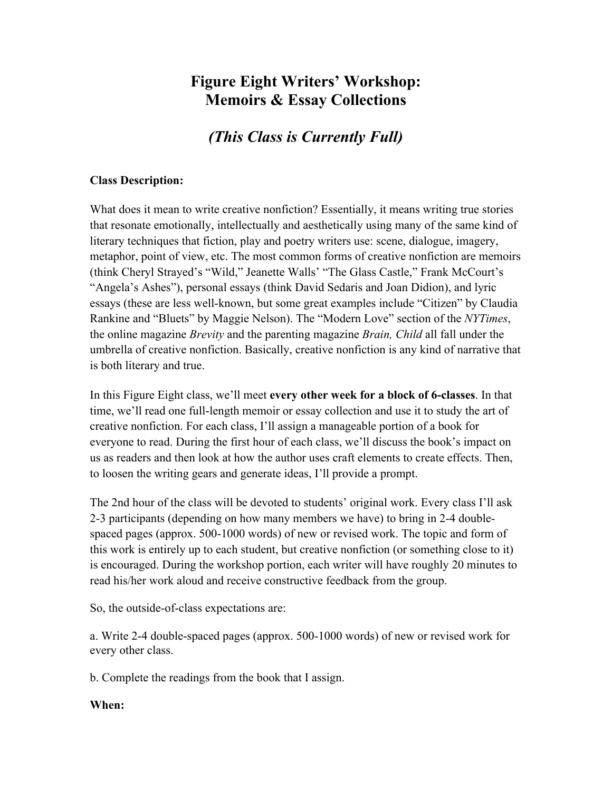# **Figure Eight Writers' Workshop: Memoirs & Essay Collections**

*(This Class is Currently Full)*

#### **Class Description:**

What does it mean to write creative nonfiction? Essentially, it means writing true stories that resonate emotionally, intellectually and aesthetically using many of the same kind of literary techniques that fiction, play and poetry writers use: scene, dialogue, imagery, metaphor, point of view, etc. The most common forms of creative nonfiction are memoirs (think Cheryl Strayed's "Wild," Jeanette Walls' "The Glass Castle," Frank McCourt's "Angela's Ashes"), personal essays (think David Sedaris and Joan Didion), and lyric essays (these are less well-known, but some great examples include "Citizen" by Claudia Rankine and "Bluets" by Maggie Nelson). The "Modern Love" section of the *NYTimes*, the online magazine *Brevity* and the parenting magazine *Brain, Child* all fall under the umbrella of creative nonfiction. Basically, creative nonfiction is any kind of narrative that is both literary and true.

In this Figure Eight class, we'll meet **every other week for a block of 6-classes**. In that time, we'll read one full-length memoir or essay collection and use it to study the art of creative nonfiction. For each class, I'll assign a manageable portion of a book for everyone to read. During the first hour of each class, we'll discuss the book's impact on us as readers and then look at how the author uses craft elements to create effects. Then, to loosen the writing gears and generate ideas, I'll provide a prompt.

The 2nd hour of the class will be devoted to students' original work. Every class I'll ask 2-3 participants (depending on how many members we have) to bring in 2-4 doublespaced pages (approx. 500-1000 words) of new or revised work. The topic and form of this work is entirely up to each student, but creative nonfiction (or something close to it) is encouraged. During the workshop portion, each writer will have roughly 20 minutes to read his/her work aloud and receive constructive feedback from the group.

So, the outside-of-class expectations are:

a. Write 2-4 double-spaced pages (approx. 500-1000 words) of new or revised work for every other class.

b. Complete the readings from the book that I assign.

#### **When:**